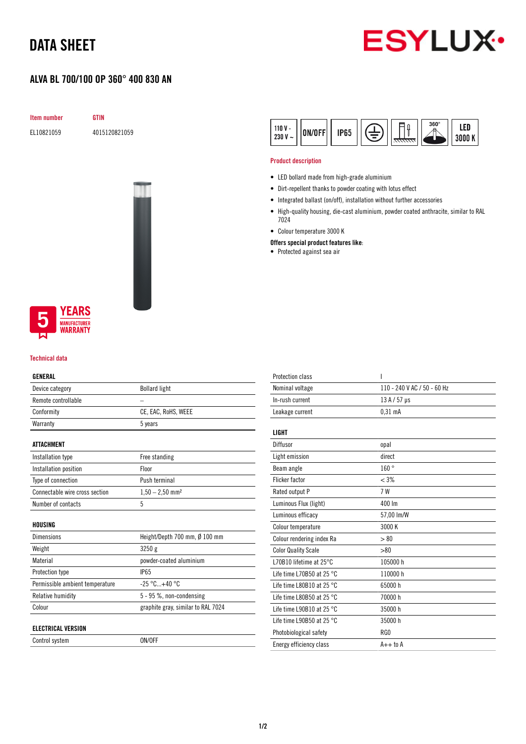## DATA SHEET

### ALVA BL 700/100 OP 360° 400 830 AN





#### Technical data

#### GENERAL

| Device category                 | <b>Bollard light</b>               |
|---------------------------------|------------------------------------|
| Remote controllable             |                                    |
| Conformity                      | CE, EAC, RoHS, WEEE                |
| Warranty                        | 5 years                            |
|                                 |                                    |
| <b>ATTACHMENT</b>               |                                    |
| Installation type               | Free standing                      |
| Installation position           | Floor                              |
| Type of connection              | Push terminal                      |
| Connectable wire cross section  | $1,50 - 2,50$ mm <sup>2</sup>      |
| Number of contacts              | 5                                  |
|                                 |                                    |
| HOUSING                         |                                    |
| <b>Dimensions</b>               | Height/Depth 700 mm, Ø 100 mm      |
| Weight                          | 3250g                              |
| Material                        | powder-coated aluminium            |
| Protection type                 | <b>IP65</b>                        |
| Permissible ambient temperature | $-25 °C+40 °C$                     |
| Relative humidity               | 5 - 95 %, non-condensing           |
| Colour                          | graphite gray, similar to RAL 7024 |
|                                 |                                    |
| <b>ELECTRICAL VERSION</b>       |                                    |

Control system ON/OFF



#### Product description

- LED bollard made from high-grade aluminium
- Dirt-repellent thanks to powder coating with lotus effect
- Integrated ballast (on/off), installation without further accessories
- High-quality housing, die-cast aluminium, powder coated anthracite, similar to RAL 7024
- Colour temperature 3000 K
- Offers special product features like:
- Protected against sea air

| <b>Protection class</b>             | ı                           |
|-------------------------------------|-----------------------------|
| Nominal voltage                     | 110 - 240 V AC / 50 - 60 Hz |
| In-rush current                     | $13A/57$ µs                 |
| Leakage current                     | 0.31 <sub>m</sub> A         |
| <b>LIGHT</b>                        |                             |
| Diffusor                            | opal                        |
| Light emission                      | direct                      |
| Beam angle                          | 160°                        |
| <b>Flicker factor</b>               | < 3%                        |
| Rated output P                      | 7 W                         |
| Luminous Flux (light)               | 400 lm                      |
| Luminous efficacy                   | 57,00 lm/W                  |
| Colour temperature                  | 3000K                       |
| Colour rendering index Ra           | > 80                        |
| <b>Color Quality Scale</b>          | > 80                        |
| L70B10 lifetime at 25°C             | 105000 h                    |
| Life time L70B50 at 25 $^{\circ}$ C | 110000h                     |
| Life time L80B10 at 25 $^{\circ}$ C | 65000h                      |
| Life time L80B50 at 25 $^{\circ}$ C | 70000 h                     |
| Life time L90B10 at 25 $^{\circ}$ C | 35000 h                     |
| Life time L90B50 at 25 °C           | 35000h                      |
| Photobiological safety              | RG0                         |
| Energy efficiency class             | $A++$ to $A$                |
|                                     |                             |